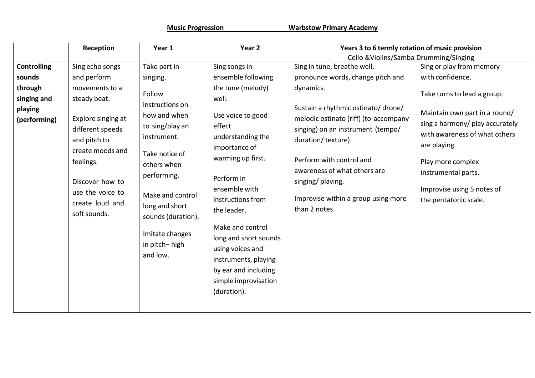**Music Progression Warbstow Primary Academy**

|                                                   | Reception                                                                                                                                                                                           | Year 1                                                                                                                                                                                                                                  | Year <sub>2</sub>                                                                                                                                                                                                                                                                                                                               | Years 3 to 6 termly rotation of music provision                                                                                                                                                                                                                                               |                                                                                                                                                                                                                                                     |
|---------------------------------------------------|-----------------------------------------------------------------------------------------------------------------------------------------------------------------------------------------------------|-----------------------------------------------------------------------------------------------------------------------------------------------------------------------------------------------------------------------------------------|-------------------------------------------------------------------------------------------------------------------------------------------------------------------------------------------------------------------------------------------------------------------------------------------------------------------------------------------------|-----------------------------------------------------------------------------------------------------------------------------------------------------------------------------------------------------------------------------------------------------------------------------------------------|-----------------------------------------------------------------------------------------------------------------------------------------------------------------------------------------------------------------------------------------------------|
|                                                   |                                                                                                                                                                                                     |                                                                                                                                                                                                                                         |                                                                                                                                                                                                                                                                                                                                                 | Cello & Violins/Samba Drumming/Singing                                                                                                                                                                                                                                                        |                                                                                                                                                                                                                                                     |
| <b>Controlling</b>                                | Sing echo songs                                                                                                                                                                                     | Take part in                                                                                                                                                                                                                            | Sing songs in                                                                                                                                                                                                                                                                                                                                   | Sing in tune, breathe well,                                                                                                                                                                                                                                                                   | Sing or play from memory                                                                                                                                                                                                                            |
| sounds                                            | and perform                                                                                                                                                                                         | singing.                                                                                                                                                                                                                                | ensemble following                                                                                                                                                                                                                                                                                                                              | pronounce words, change pitch and                                                                                                                                                                                                                                                             | with confidence.                                                                                                                                                                                                                                    |
| through<br>singing and<br>playing<br>(performing) | movements to a<br>steady beat.<br>Explore singing at<br>different speeds<br>and pitch to<br>create moods and<br>feelings.<br>Discover how to<br>use the voice to<br>create loud and<br>soft sounds. | Follow<br>instructions on<br>how and when<br>to sing/play an<br>instrument.<br>Take notice of<br>others when<br>performing.<br>Make and control<br>long and short<br>sounds (duration).<br>Imitate changes<br>in pitch-high<br>and low. | the tune (melody)<br>well.<br>Use voice to good<br>effect<br>understanding the<br>importance of<br>warming up first.<br>Perform in<br>ensemble with<br>instructions from<br>the leader.<br>Make and control<br>long and short sounds<br>using voices and<br>instruments, playing<br>by ear and including<br>simple improvisation<br>(duration). | dynamics.<br>Sustain a rhythmic ostinato/ drone/<br>melodic ostinato (riff) (to accompany<br>singing) on an instrument (tempo/<br>duration/texture).<br>Perform with control and<br>awareness of what others are<br>singing/ playing.<br>Improvise within a group using more<br>than 2 notes. | Take turns to lead a group.<br>Maintain own part in a round/<br>sing a harmony/ play accurately<br>with awareness of what others<br>are playing.<br>Play more complex<br>instrumental parts.<br>Improvise using 5 notes of<br>the pentatonic scale. |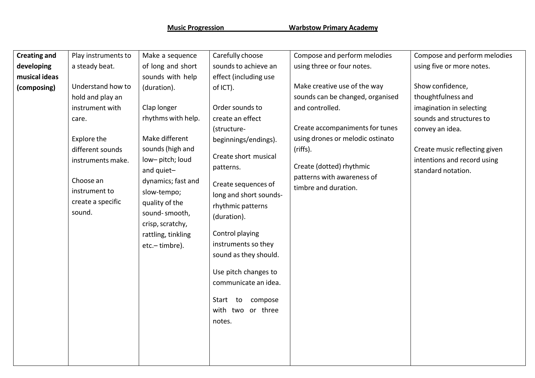| <b>Creating and</b>          | Play instruments to                                                                                                                                                                    | Make a sequence                                                                                                                                                                                                                                                                | Carefully choose                                                                                                                                                                                                                                                                                                                                                                                                      | Compose and perform melodies                                                                                                                                                                                                                             | Compose and perform melodies                                                                                                                                                                            |
|------------------------------|----------------------------------------------------------------------------------------------------------------------------------------------------------------------------------------|--------------------------------------------------------------------------------------------------------------------------------------------------------------------------------------------------------------------------------------------------------------------------------|-----------------------------------------------------------------------------------------------------------------------------------------------------------------------------------------------------------------------------------------------------------------------------------------------------------------------------------------------------------------------------------------------------------------------|----------------------------------------------------------------------------------------------------------------------------------------------------------------------------------------------------------------------------------------------------------|---------------------------------------------------------------------------------------------------------------------------------------------------------------------------------------------------------|
| developing                   | a steady beat.                                                                                                                                                                         | of long and short                                                                                                                                                                                                                                                              | sounds to achieve an                                                                                                                                                                                                                                                                                                                                                                                                  | using three or four notes.                                                                                                                                                                                                                               | using five or more notes.                                                                                                                                                                               |
| musical ideas<br>(composing) | Understand how to<br>hold and play an<br>instrument with<br>care.<br>Explore the<br>different sounds<br>instruments make.<br>Choose an<br>instrument to<br>create a specific<br>sound. | sounds with help<br>(duration).<br>Clap longer<br>rhythms with help.<br>Make different<br>sounds (high and<br>low-pitch; loud<br>and quiet-<br>dynamics; fast and<br>slow-tempo;<br>quality of the<br>sound-smooth,<br>crisp, scratchy,<br>rattling, tinkling<br>etc.-timbre). | effect (including use<br>of ICT).<br>Order sounds to<br>create an effect<br>(structure-<br>beginnings/endings).<br>Create short musical<br>patterns.<br>Create sequences of<br>long and short sounds-<br>rhythmic patterns<br>(duration).<br>Control playing<br>instruments so they<br>sound as they should.<br>Use pitch changes to<br>communicate an idea.<br>Start to<br>compose<br>with two<br>or three<br>notes. | Make creative use of the way<br>sounds can be changed, organised<br>and controlled.<br>Create accompaniments for tunes<br>using drones or melodic ostinato<br>(riffs).<br>Create (dotted) rhythmic<br>patterns with awareness of<br>timbre and duration. | Show confidence,<br>thoughtfulness and<br>imagination in selecting<br>sounds and structures to<br>convey an idea.<br>Create music reflecting given<br>intentions and record using<br>standard notation. |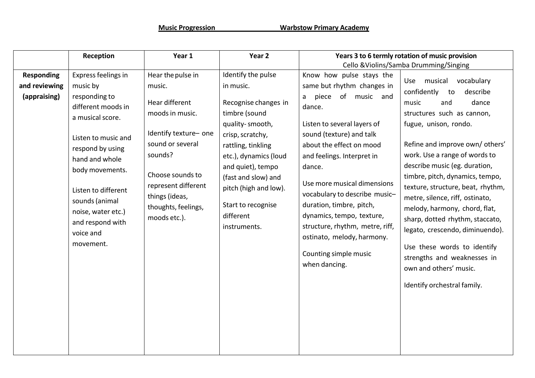| Identify the pulse<br>in music.                                                                                                                                                                                                                     | Know how pulse stays the<br>same but rhythm changes in                                                                                                                                                                                                                                                                                                                                               | Cello & Violins/Samba Drumming/Singing<br>Use musical<br>vocabulary                                                                                                                                                                                                                                                                                                                                                                                                                                                                                         |
|-----------------------------------------------------------------------------------------------------------------------------------------------------------------------------------------------------------------------------------------------------|------------------------------------------------------------------------------------------------------------------------------------------------------------------------------------------------------------------------------------------------------------------------------------------------------------------------------------------------------------------------------------------------------|-------------------------------------------------------------------------------------------------------------------------------------------------------------------------------------------------------------------------------------------------------------------------------------------------------------------------------------------------------------------------------------------------------------------------------------------------------------------------------------------------------------------------------------------------------------|
|                                                                                                                                                                                                                                                     |                                                                                                                                                                                                                                                                                                                                                                                                      |                                                                                                                                                                                                                                                                                                                                                                                                                                                                                                                                                             |
|                                                                                                                                                                                                                                                     |                                                                                                                                                                                                                                                                                                                                                                                                      |                                                                                                                                                                                                                                                                                                                                                                                                                                                                                                                                                             |
| Recognise changes in<br>timbre (sound<br>quality-smooth,<br>crisp, scratchy,<br>rattling, tinkling<br>etc.), dynamics (loud<br>and quiet), tempo<br>(fast and slow) and<br>pitch (high and low).<br>Start to recognise<br>different<br>instruments. | piece of music and<br>a<br>dance.<br>Listen to several layers of<br>sound (texture) and talk<br>about the effect on mood<br>and feelings. Interpret in<br>dance.<br>Use more musical dimensions<br>vocabulary to describe music-<br>duration, timbre, pitch,<br>dynamics, tempo, texture,<br>structure, rhythm, metre, riff,<br>ostinato, melody, harmony.<br>Counting simple music<br>when dancing. | confidently<br>describe<br>to<br>music<br>and<br>dance<br>structures such as cannon,<br>fugue, unison, rondo.<br>Refine and improve own/ others'<br>work. Use a range of words to<br>describe music (eg. duration,<br>timbre, pitch, dynamics, tempo,<br>texture, structure, beat, rhythm,<br>metre, silence, riff, ostinato,<br>melody, harmony, chord, flat,<br>sharp, dotted rhythm, staccato,<br>legato, crescendo, diminuendo).<br>Use these words to identify<br>strengths and weaknesses in<br>own and others' music.<br>Identify orchestral family. |
|                                                                                                                                                                                                                                                     |                                                                                                                                                                                                                                                                                                                                                                                                      |                                                                                                                                                                                                                                                                                                                                                                                                                                                                                                                                                             |